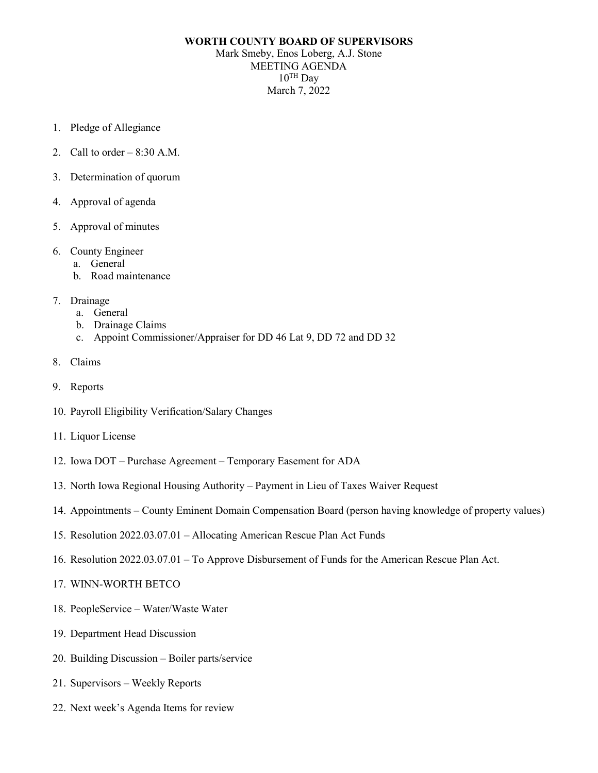## **WORTH COUNTY BOARD OF SUPERVISORS** Mark Smeby, Enos Loberg, A.J. Stone MEETING AGENDA  $10^{TH}$  Dav March 7, 2022

- 1. Pledge of Allegiance
- 2. Call to order  $-8:30$  A.M.
- 3. Determination of quorum
- 4. Approval of agenda
- 5. Approval of minutes
- 6. County Engineer
	- a. General
	- b. Road maintenance
- 7. Drainage
	- a. General
	- b. Drainage Claims
	- c. Appoint Commissioner/Appraiser for DD 46 Lat 9, DD 72 and DD 32
- 8. Claims
- 9. Reports
- 10. Payroll Eligibility Verification/Salary Changes
- 11. Liquor License
- 12. Iowa DOT Purchase Agreement Temporary Easement for ADA
- 13. North Iowa Regional Housing Authority Payment in Lieu of Taxes Waiver Request
- 14. Appointments County Eminent Domain Compensation Board (person having knowledge of property values)
- 15. Resolution 2022.03.07.01 Allocating American Rescue Plan Act Funds
- 16. Resolution 2022.03.07.01 To Approve Disbursement of Funds for the American Rescue Plan Act.
- 17. WINN-WORTH BETCO
- 18. PeopleService Water/Waste Water
- 19. Department Head Discussion
- 20. Building Discussion Boiler parts/service
- 21. Supervisors Weekly Reports
- 22. Next week's Agenda Items for review